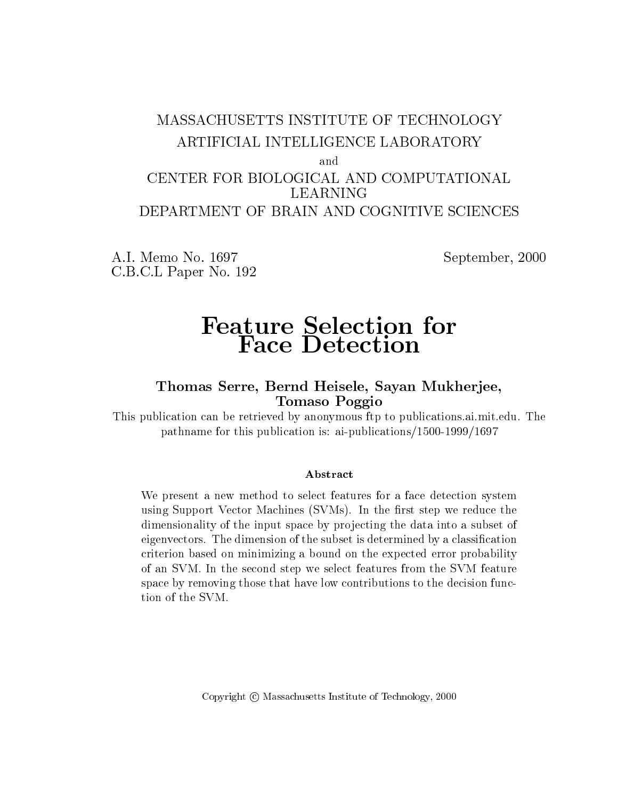### MASSACHUSETTS INSTITUTE OF TECHNOLOGY ARTIFICIAL INTELLIGENCE LABORATORY and CENTER FOR BIOLOGICAL AND COMPUTATIONAL LEARNING DEPARTMENT OF BRAIN AND COGNITIVE SCIENCES

A.I. Memo No. 1697 September, 2000 C.B.C.L Paper No. 192

# Face Detection

### Thomas Serre, Bernd Heisele, Sayan Mukherjee, Tomaso Poggio

This publication can be retrieved by anonymous ftp to publications.ai.mit.edu. The pathname for this publication is: ai-publications/1500-1999/1697

We present a new method to select features for a face detection system using Support Vector Machines (SVMs). In the first step we reduce the dimensionality of the input space by projecting the data into a subset of eigenvectors. The dimension of the subset is determined by a classification criterion based on minimizing a bound on the expected error probability of an SVM. In the second step we select features from the SVM feature space by removing those that have low contributions to the decision function of the SVM.

Copyright C Massachusetts Institute of Technology, 2000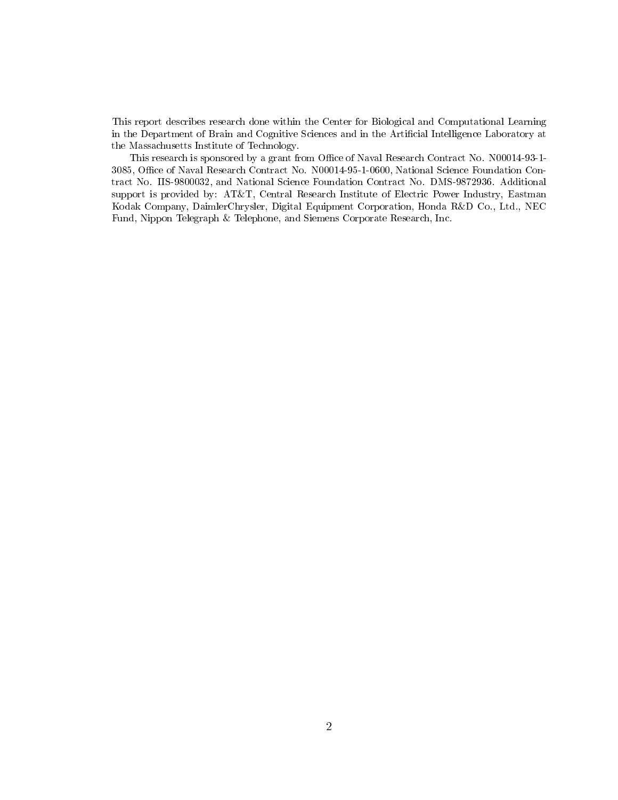This report describes research done within the Center for Biological and Computational Learning in the Department of Brain and Cognitive Sciences and in the Articial Intelligence Laboratory at the Massachusetts Institute of Technology.

This research is sponsored by a grant from Office of Naval Research Contract No. N00014-93-1-3085, Office of Naval Research Contract No. N00014-95-1-0600, National Science Foundation Contract No. IIS-9800032, and National Science Foundation Contract No. DMS-9872936. Additional support is provided by: AT&T, Central Research Institute of Electric Power Industry, Eastman Kodak Company, DaimlerChrysler, Digital Equipment Corporation, Honda R&D Co., Ltd., NEC Fund, Nippon Telegraph & Telephone, and Siemens Corporate Research, Inc.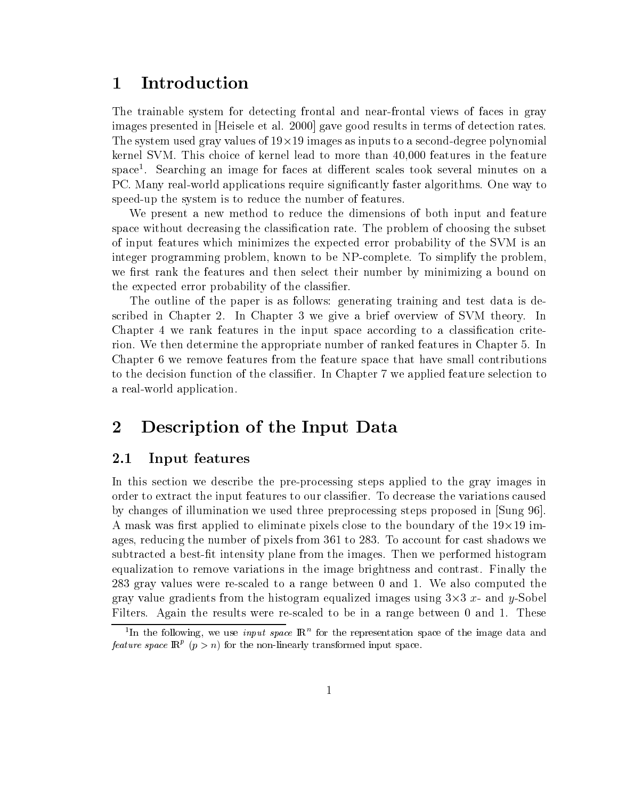### **Introduction**  $\mathbf 1$

The trainable system for detecting frontal and near-frontal views of faces in gray images presented in [Heisele et al. 2000] gave good results in terms of detection rates. The system used gray values of  $19\times19$  images as inputs to a second-degree polynomial kernel SVM. This choice of kernel lead to more than 40,000 features in the feature space". Searching an image for faces at different scales took several minutes on a PC. Many real-world applications require signicantly faster algorithms. One way to speed-up the system is to reduce the number of features.

We present a new method to reduce the dimensions of both input and feature space without decreasing the classification rate. The problem of choosing the subset of input features which minimizes the expected error probability of the SVM is an integer programming problem, known to be NP-complete. To simplify the problem, we first rank the features and then select their number by minimizing a bound on the expected error probability of the classifier.

The outline of the paper is as follows: generating training and test data is described in Chapter 2. In Chapter 3 we give a brief overview of SVM theory. In Chapter 4 we rank features in the input space according to a classification criterion. We then determine the appropriate number of ranked features in Chapter 5. In Chapter 6 we remove features from the feature space that have small contributions to the decision function of the classier. In Chapter 7 we applied feature selection to a real-world application.

### 2 Description of the Input Data

### 2.1 Input features

In this section we describe the pre-processing steps applied to the gray images in order to extract the input features to our classier. To decrease the variations caused by changes of illumination we used three preprocessing steps proposed in [Sung 96]. A mask was first applied to eliminate pixels close to the boundary of the  $19 \times 19$  images, reducing the number of pixels from 361 to 283. To account for cast shadows we subtracted a best-fit intensity plane from the images. Then we performed histogram equalization to remove variations in the image brightness and contrast. Finally the 283 gray values were re-scaled to a range between 0 and 1. We also computed the gray value gradients from the histogram equalized images using  $3\times 3$  x-and y-Sobel Filters. Again the results were re-scaled to be in a range between 0 and 1. These

Th the following, we use  $input\ space$  in the representation space of the image data and the  $t$ *feature space*  $\mathbb{R}^r$  (p  $> n$ ) for the non-linearly transformed input space.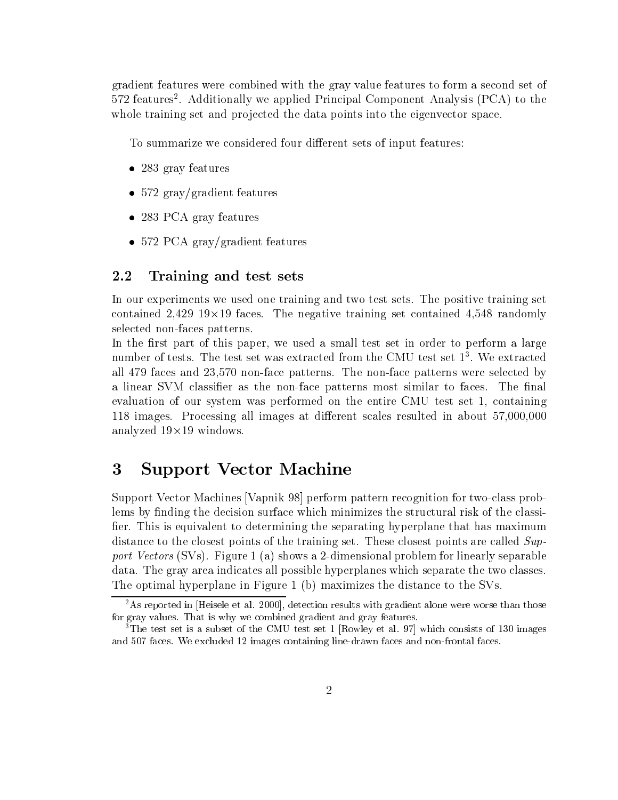gradient features were combined with the gray value features to form a second set of 572 features2 . Additionally we applied Principal Component Analysis (PCA) to the whole training set and projected the data points into the eigenvector space.

To summarize we considered four different sets of input features:

- 283 gray features
- 572 gray/gradient features
- 283 PCA gray features
- $\bullet$  572 PCA gray/gradient features

### 2.2 Training and test sets

In our experiments we used one training and two test sets. The positive training set contained 2,429 19×19 faces. The negative training set contained 4,548 randomly selected non-faces patterns.

In the first part of this paper, we used a small test set in order to perform a large  $\min$  derived the test set was extracted from the CMU test set 11. We extracted that  $\min$ all 479 faces and 23,570 non-face patterns. The non-face patterns were selected by a linear SVM classifier as the non-face patterns most similar to faces. The final evaluation of our system was performed on the entire CMU test set 1, containing 118 images. Processing all images at different scales resulted in about 57,000,000 analyzed 19×19 windows.

### 3 Support Vector Machine

Support Vector Machines [Vapnik 98] perform pattern recognition for two-class problems by finding the decision surface which minimizes the structural risk of the classifier. This is equivalent to determining the separating hyperplane that has maximum distance to the closest points of the training set. These closest points are called  $Sup$  $p$ ort Vectors (SVS). Figure 1 (a) shows a 2-dimensional problem for linearly separable data. The gray area indicates all possible hyperplanes which separate the two classes. The optimal hyperplane in Figure 1 (b) maximizes the distance to the SVs.

 $^{2}$ As reported in Heisele et al. 2000, detection results with gradient alone were worse than those for gray values. That is why we combined gradient and gray features.

<sup>&</sup>lt;sup>3</sup>The test set is a subset of the CMU test set 1 [Rowley et al. 97] which consists of 130 images and 507 faces. We excluded 12 images containing line-drawn faces and non-frontal faces.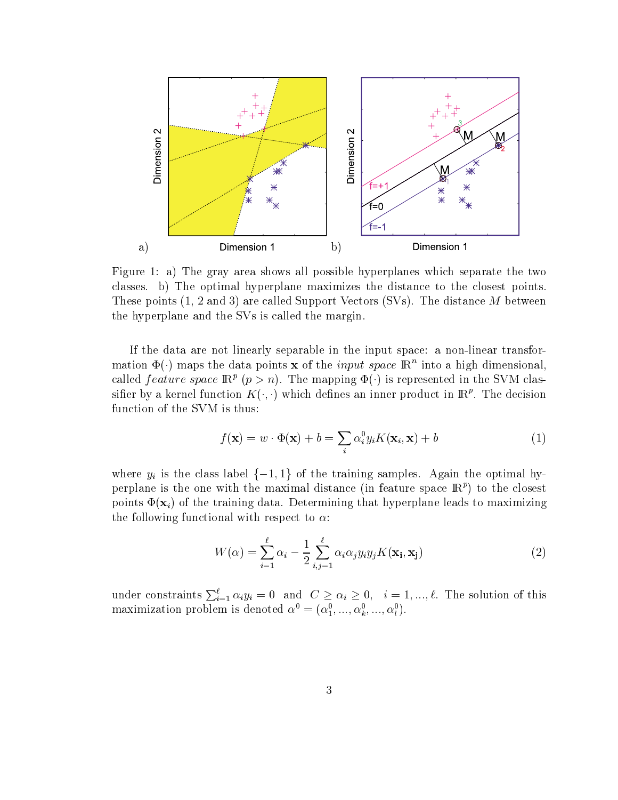

Figure 1: a) The gray area shows all possible hyperplanes which separate the two classes. b) The optimal hyperplane maximizes the distance to the closest points. These points (1, 2 and 3) are called Support Vectors (SVs). The distance <sup>M</sup> between the hyperplane and the SVs is called the margin.

If the data are not linearly separable in the input space: a non-linear transformation  $\Psi(\cdot)$  maps the data points **x** of the *input space*  $\mathbb{R}^n$  into a high dimensional, called *feature space*  $\mathbb{R}^p$  ( $p>n$ ). The mapping  $\Phi(\cdot)$  is represented in the SVM classiner by a kernel function  $K(\cdot, \cdot)$  which defines an inner product in IR $\cdot$  . The decision function of the SVM is thus:

$$
f(\mathbf{x}) = w \cdot \Phi(\mathbf{x}) + b = \sum_{i} \alpha_i^0 y_i K(\mathbf{x}_i, \mathbf{x}) + b
$$
 (1)

where  $y_i$  is the class label  $\{-1, 1\}$  of the training samples. Again the optimal hyperplane is the one with the maximal distance (in feature space  $\mathbb{R}^p$ ) to the closest points  $\Phi(\mathbf{x}_i)$  of the training data. Determining that hyperplane leads to maximizing the following functional with respect to  $\alpha$ :

$$
W(\alpha) = \sum_{i=1}^{\ell} \alpha_i - \frac{1}{2} \sum_{i,j=1}^{\ell} \alpha_i \alpha_j y_i y_j K(\mathbf{x_i}, \mathbf{x_j})
$$
(2)

under constraints  $\sum_{i=1}^{l} \alpha_i y_i = 0$  and  $C \ge \alpha_i \ge 0, i = 1, ..., l$ . The solution of this maximization problem is denoted  $\alpha^* = (\alpha_1^*, ..., \alpha_k^*, ..., \alpha_l^*)$ .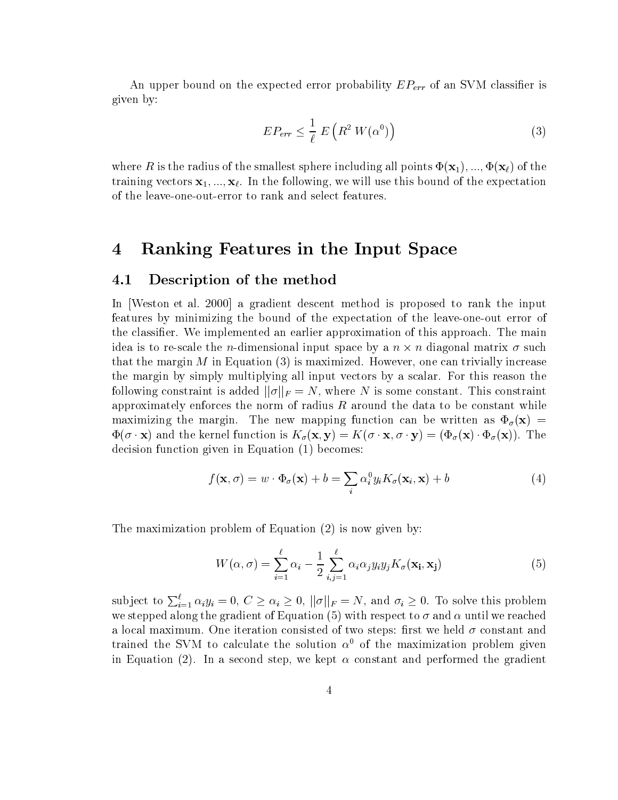An upper bound on the expected error probability  $EP_{err}$  of an SVM classifier is given by:

$$
EP_{err} \leq \frac{1}{\ell} E\left(R^2 W(\alpha^0)\right) \tag{3}
$$

where R is the radius of the smallest sphere including all points  $\Phi(\mathbf{x}_1), ..., \Phi(\mathbf{x}_\ell)$  of the training vectors  $x_1, ..., x_\ell$ . In the following, we will use this bound of the expectation of the leave-one-out-error to rank and select features.

### 4 Ranking Features in the Input Space

### 4.1 Description of the method

In Weston et al. 2000 a gradient descent method is proposed to rank the input features by minimizing the bound of the expectation of the leave-one-out error of the classifier. We implemented an earlier approximation of this approach. The main idea is to re-scale the n-dimensional input space by a  $n \times n$  diagonal matrix  $\sigma$  such that the margin  $M$  in Equation  $(3)$  is maximized. However, one can trivially increase the margin by simply multiplying all input vectors by a scalar. For this reason the following constraint is added  $||\sigma||_F = N$ , where N is some constant. This constraint approximately enforces the norm of radius  $R$  around the data to be constant while maximizing the margin. The new mapping function can be written as  $\Phi_{\sigma}(\mathbf{x}) =$  $\Phi(\sigma \cdot \mathbf{x})$  and the kernel function is  $K_{\sigma}(\mathbf{x}, \mathbf{y}) = K(\sigma \cdot \mathbf{x}, \sigma \cdot \mathbf{y}) = (\Phi_{\sigma}(\mathbf{x}) \cdot \Phi_{\sigma}(\mathbf{x}))$ . The decision function given in Equation (1) becomes:

$$
f(\mathbf{x}, \sigma) = w \cdot \Phi_{\sigma}(\mathbf{x}) + b = \sum_{i} \alpha_{i}^{0} y_{i} K_{\sigma}(\mathbf{x}_{i}, \mathbf{x}) + b
$$
\n(4)

The maximization problem of Equation (2) is now given by:

$$
W(\alpha, \sigma) = \sum_{i=1}^{\ell} \alpha_i - \frac{1}{2} \sum_{i,j=1}^{\ell} \alpha_i \alpha_j y_i y_j K_{\sigma}(\mathbf{x_i}, \mathbf{x_j})
$$
(5)

subject to  $\sum_{i=1}^{\ell} \alpha_i y_i = 0, C \ge \alpha_i \ge 0, ||\sigma||_F = N$ , and  $\sigma_i \ge 0$ . To solve this problem we stepped along the gradient of Equation (5) with respect to  $\sigma$  and  $\alpha$  until we reached a local maximum. One iteration consisted of two steps: first we held  $\sigma$  constant and trained the SVM to calculate the solution  $\alpha^0$  of the maximization problem given in Equation (2). In a second step, we kept  $\alpha$  constant and performed the gradient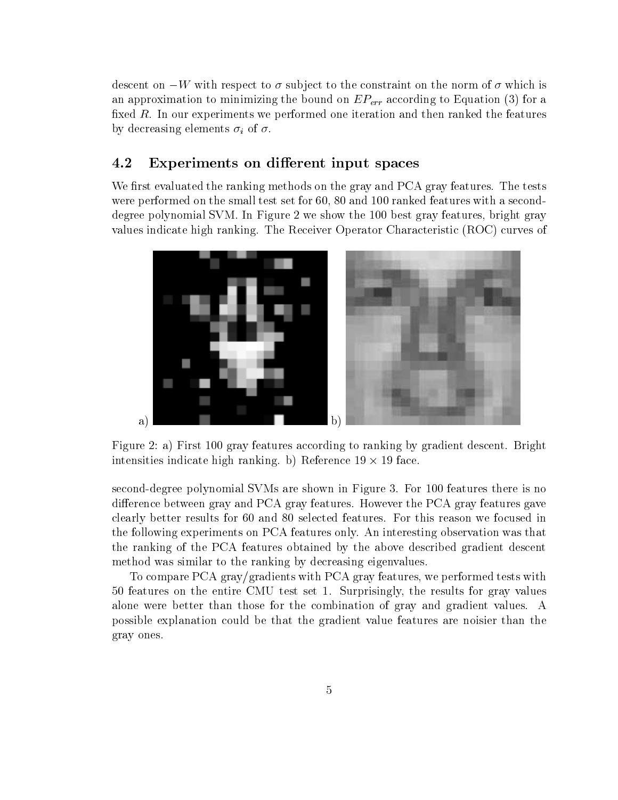descent on  $-W$  with respect to  $\sigma$  subject to the constraint on the norm of  $\sigma$  which is an approximation to minimizing the bound on  $EP_{err}$  according to Equation (3) for a fixed  $R$ . In our experiments we performed one iteration and then ranked the features by decreasing elements  $\sigma_i$  of  $\sigma$ .

#### 4.2 Experiments on different input spaces

We first evaluated the ranking methods on the gray and PCA gray features. The tests were performed on the small test set for 60, 80 and 100 ranked features with a seconddegree polynomial SVM. In Figure 2 we show the 100 best gray features, bright gray values indicate high ranking. The Receiver Operator Characteristic (ROC) curves of



Figure 2: a) First 100 gray features according to ranking by gradient descent. Bright intensities indicate high ranking. b) Reference 19  $\times$  19 face.

second-degree polynomial SVMs are shown in Figure 3. For 100 features there is no difference between gray and PCA gray features. However the PCA gray features gave clearly better results for 60 and 80 selected features. For this reason we focused in the following experiments on PCA features only. An interesting observation was that the ranking of the PCA features obtained by the above described gradient descent method was similar to the ranking by decreasing eigenvalues.

To compare PCA gray/gradients with PCA gray features, we performed tests with 50 features on the entire CMU test set 1. Surprisingly, the results for gray values alone were better than those for the combination of gray and gradient values. A possible explanation could be that the gradient value features are noisier than the gray ones.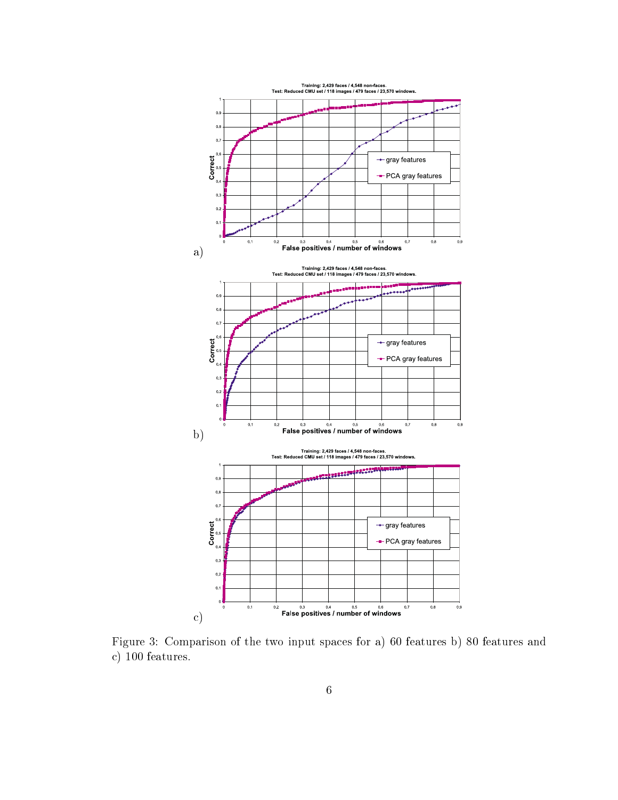

Figure 3: Comparison of the two input spaces for a) 60 features b) 80 features and c) 100 features.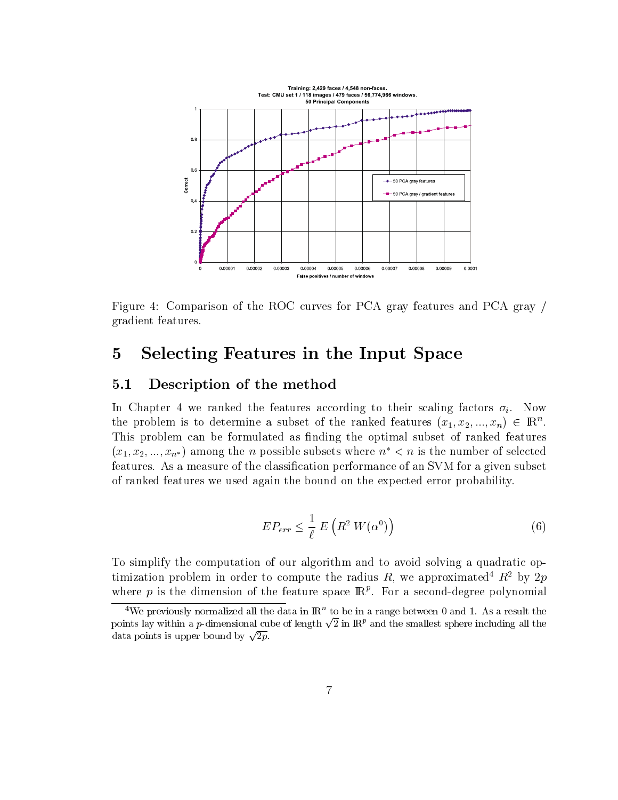

Figure 4: Comparison of the ROC curves for PCA gray features and PCA gray / gradient features.

## 5 Selecting Features in the Input Space

### 5.1 Description of the method

In Chapter 4 we ranked the features according to their scaling factors  $\sigma_i$ . Now the problem is to determine a subset of the ranked features  $(x_1, x_2, ..., x_n) \in \mathbb{R}^n$ . This problem can be formulated as finding the optimal subset of ranked features  $(x_1, x_2, ..., x_{n^*})$  among the *n* possible subsets where  $n^* < n$  is the number of selected features. As a measure of the classification performance of an SVM for a given subset of ranked features we used again the bound on the expected error probability.

$$
EP_{err} \leq \frac{1}{\ell} E\left(R^2 W(\alpha^0)\right) \tag{6}
$$

To simplify the computation of our algorithm and to avoid solving a quadratic optimization problem in order to compute the radius R, we approximated  $R^2$  by 2p where  $p$  is the dimension of the feature space  $\mathbb{H}^r$ . For a second-degree polynomial

 $\cdot$  We previously normalized all the data in IR  $\,$  to be in a range between 0 and 1. As a result the  $\,$ points lay within a *p*-dimensional cube of length  $\sqrt{2}$  in  $\mathbb{R}^p$  and the smallest sphere including all the data points is upper bound by  $\sqrt{2p}$ .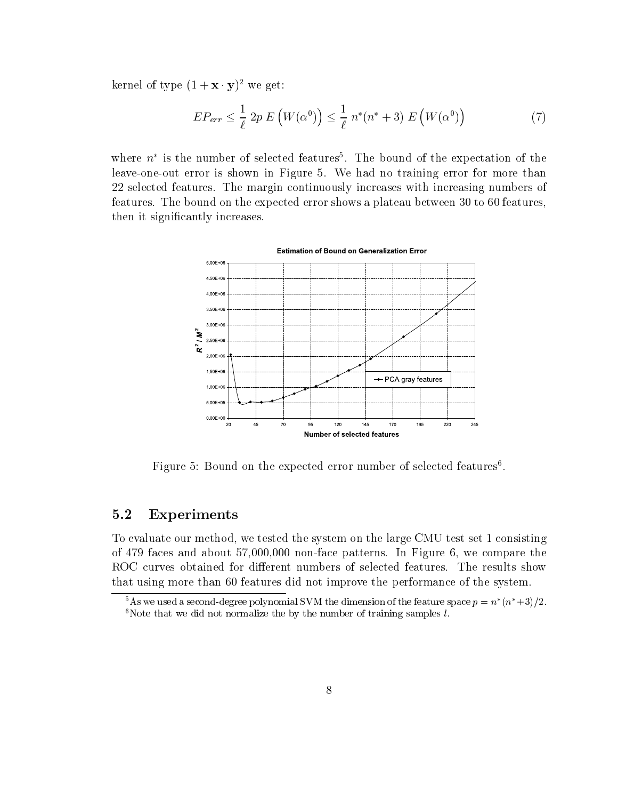kernel of type  $(1 + x \cdot y)^2$  we get:

$$
EP_{err} \leq \frac{1}{\ell} 2p E\left(W(\alpha^0)\right) \leq \frac{1}{\ell} n^*(n^*+3) E\left(W(\alpha^0)\right) \tag{7}
$$

where  $n$  is the number of selected features. The bound of the expectation of the  $\overline{ }$ leave-one-out error is shown in Figure 5. We had no training error for more than 22 selected features. The margin continuously increases with increasing numbers of features. The bound on the expected error shows a plateau between 30 to 60 features, then it significantly increases.



Figure 5: Bound on the expected error number of selected features<sup>6</sup>.

### 5.2 Experiments

To evaluate our method, we tested the system on the large CMU test set 1 consisting of 479 faces and about  $57,000,000$  non-face patterns. In Figure 6, we compare the ROC curves obtained for different numbers of selected features. The results show that using more than 60 features did not improve the performance of the system.

TAS we used a second-degree polynomial SVM the dimension of the feature space  $p = n/(n+\delta)/2.$ <sup>6</sup>Note that we did not normalize the by the number of training samples  $l$ .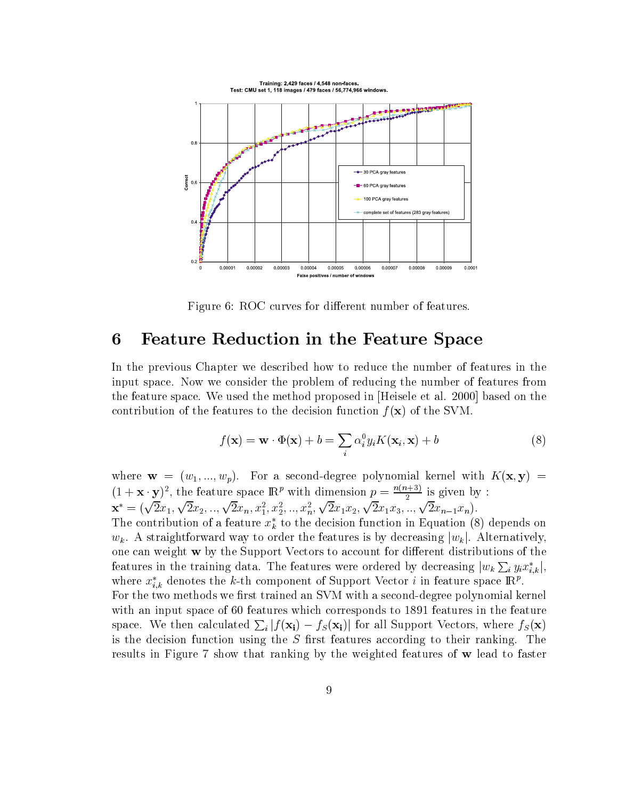

Figure 6: ROC curves for different number of features.

### 6 Feature Reduction in the Feature Space

In the previous Chapter we described how to reduce the number of features in the input space. Now we consider the problem of reducing the number of features from the feature space. We used the method proposed in [Heisele et al. 2000] based on the contribution of the features to the decision function  $f(\mathbf{x})$  of the SVM.

$$
f(\mathbf{x}) = \mathbf{w} \cdot \Phi(\mathbf{x}) + b = \sum_{i} \alpha_i^0 y_i K(\mathbf{x}_i, \mathbf{x}) + b
$$
 (8)

where  $\mathbf{w} = (w_1, ..., w_p)$ . For a second-degree polynomial kernel with  $K(\mathbf{x}, \mathbf{y}) =$  $(1 + x \cdot y)^2$ , the feature space  $\mathbb{R}^p$  with dimension  $p = \frac{1}{2}$  is given by :

 $\mathbf{x}^* = (\sqrt{2}x_1, \sqrt{2}x_2, ..., \sqrt{2}x_n, x_1^2, x_2^2, ..., x_n^2, \sqrt{2}x_1x_2, \sqrt{2}x_1x_3, ..., \sqrt{2}x_{n-1}x_n).$ The contribution of a feature  $x_k^*$  to the decision function in Equation (8) depends on

 $w_k$ . A straightforward way to order the features is by decreasing  $|w_k|$ . Alternatively, one can weight  $w$  by the Support Vectors to account for different distributions of the features in the training data. The features were ordered by decreasing  $|w_k\sum_i y_ix_{i,k}^*|$ , where  $x_{i,k}$  denotes the  $\kappa$ -th component of Support Vector  $\imath$  in feature space IRf . For the two methods we first trained an SVM with a second-degree polynomial kernel with an input space of 60 features which corresponds to 1891 features in the feature space. We then calculated  $\sum_i |f(\mathbf{x_i}) - f_S(\mathbf{x_i})|$  for all Support Vectors, where  $f_S(\mathbf{x})$ is the decision function using the  $S$  first features according to their ranking. The results in Figure 7 show that ranking by the weighted features of <sup>w</sup> lead to faster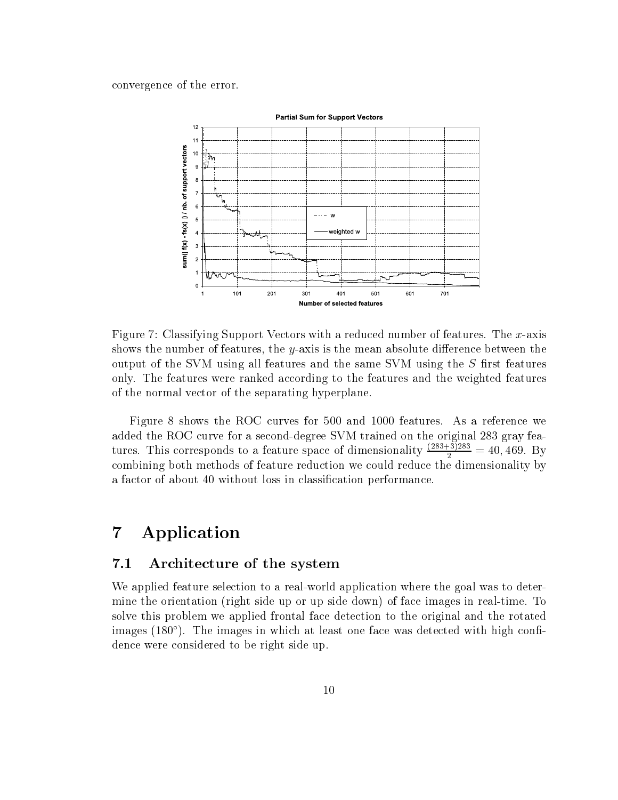convergence of the error.



Figure 7: Classifying Support Vectors with a reduced number of features. The x-axis shows the number of features, the y-axis is the mean absolute difference between the output of the SVM using all features and the same SVM using the  $S$  first features only. The features were ranked according to the features and the weighted features of the normal vector of the separating hyperplane.

Figure 8 shows the ROC curves for 500 and 1000 features. As a reference we added the ROC curve for a second-degree SVM trained on the original 283 gray features. This corresponds to a feature space of dimensionality  $\frac{1}{2}$  = 40,469. By combining both methods of feature reduction we could reduce the dimensionality by a factor of about 40 without loss in classication performance.

### 7 Application

#### $7.1$ Architecture of the system

We applied feature selection to a real-world application where the goal was to determine the orientation (right side up or up side down) of face images in real-time. To solve this problem we applied frontal face detection to the original and the rotated images (180 $^{\circ}$ ). The images in which at least one face was detected with high confidence were considered to be right side up.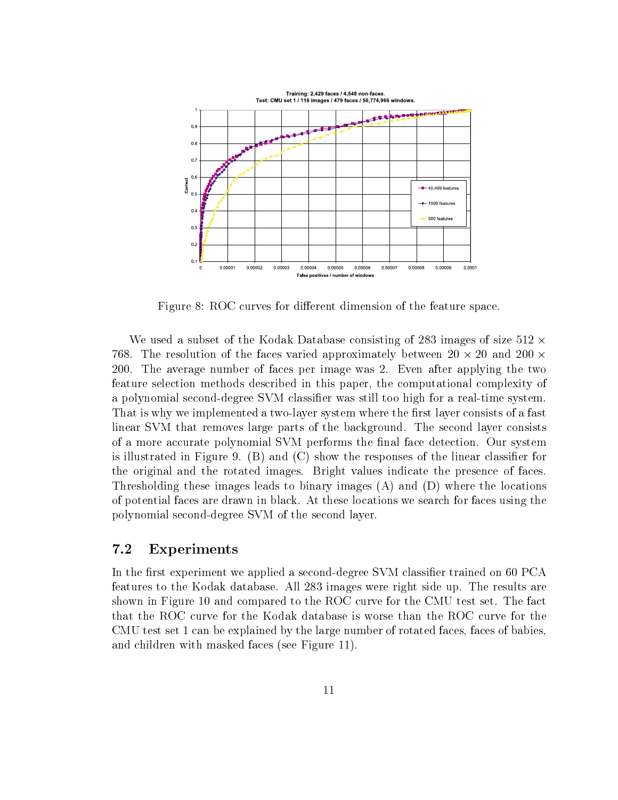

Figure 8: ROC curves for different dimension of the feature space.

We used a subset of the Kodak Database consisting of 283 images of size  $512 \times$ 768. The resolution of the faces varied approximately between 20  $\times$  20 and 200  $\times$ 200. The average number of faces per image was 2. Even after applying the two feature selection methods described in this paper, the computational complexity of a polynomial second-degree SVM classifier was still too high for a real-time system. That is why we implemented a two-layer system where the first layer consists of a fast linear SVM that removes large parts of the background. The second layer consists of a more accurate polynomial SVM performs the final face detection. Our system is illustrated in Figure 9.  $(B)$  and  $(C)$  show the responses of the linear classifier for the original and the rotated images. Bright values indicate the presence of faces. Thresholding these images leads to binary images (A) and (D) where the locations of potential faces are drawn in black. At these locations we search for faces using the polynomial second-degree SVM of the second layer.

### 7.2 Experiments

In the first experiment we applied a second-degree SVM classifier trained on 60 PCA features to the Kodak database. All 283 images were right side up. The results are shown in Figure 10 and compared to the ROC curve for the CMU test set. The fact that the ROC curve for the Kodak database is worse than the ROC curve for the CMU test set 1 can be explained by the large number of rotated faces, faces of babies, and children with masked faces (see Figure 11).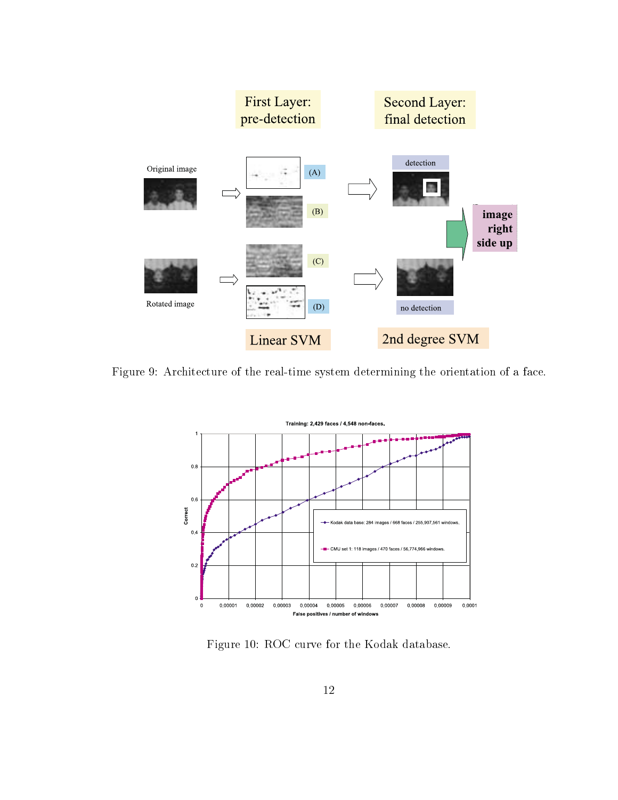

Figure 9: Architecture of the real-time system determining the orientation of a face.



Figure 10: ROC curve for the Kodak database.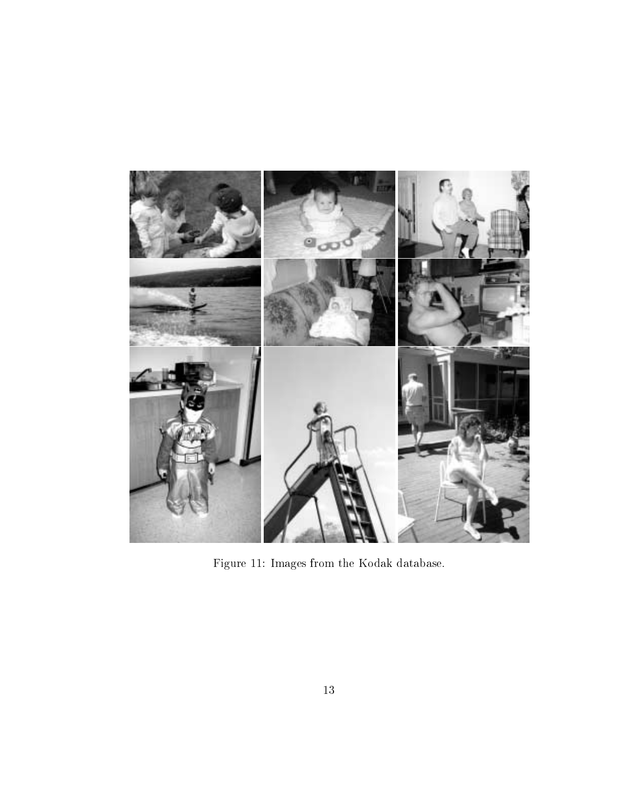

Figure 11: Images from the Kodak database.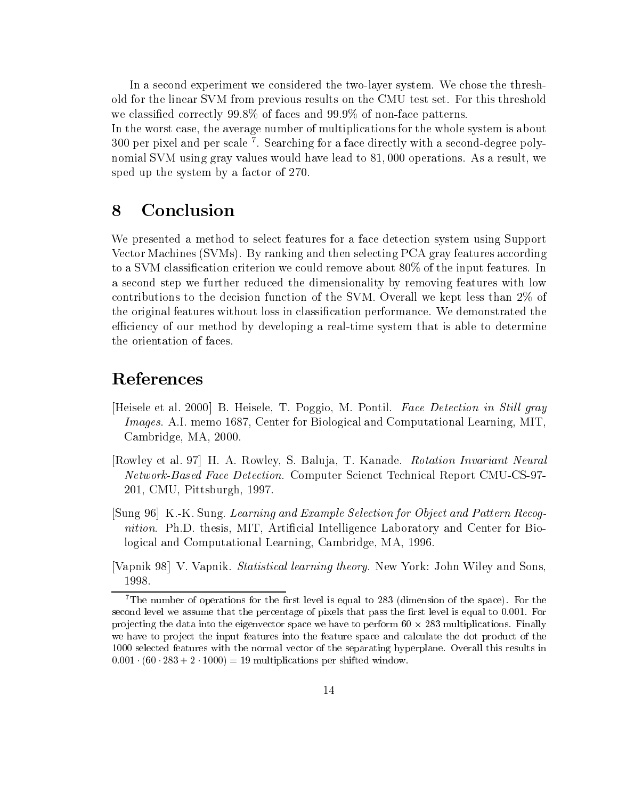In a second experiment we considered the two-layer system. We chose the threshold for the linear SVM from previous results on the CMU test set. For this threshold we classied correctly 99.8% of faces and 99.9% of non-face patterns.

In the worst case, the average number of multiplications for the whole system is about 300 per pixel and per scale <sup>7</sup> . Searching for a face directly with a second-degree polynomial SVM using gray values would have lead to 81; 000 operations. As a result, we sped up the system by a factor of 270.

### 8 Conclusion

We presented a method to select features for a face detection system using Support Vector Machines (SVMs). By ranking and then selecting PCA gray features according to a SVM classification criterion we could remove about  $80\%$  of the input features. In a second step we further reduced the dimensionality by removing features with low contributions to the decision function of the SVM. Overall we kept less than 2% of the original features without loss in classication performance. We demonstrated the efficiency of our method by developing a real-time system that is able to determine the orientation of faces.

### References

- [Heisele et al. 2000] B. Heisele, T. Poggio, M. Pontil. Face Detection in Stil<sup>l</sup> gray Images. A.I. memo 1687, Center for Biological and Computational Learning, MIT, Cambridge, MA, 2000.
- [Rowley et al. 97] H. A. Rowley, S. Baluja, T. Kanade. Rotation Invariant Neural Network-Based Face Detection. Computer Scienct Technical Report CMU-CS-97- 201, CMU, Pittsburgh, 1997.
- [Sung 96] K.-K. Sung. Learning and Example Selection for Object and Pattern Recognition. Ph.D. thesis, MIT, Artificial Intelligence Laboratory and Center for Biological and Computational Learning, Cambridge, MA, 1996.

<sup>[</sup>Vapnik 98] V. Vapnik. Statistical learning theory. New York: John Wiley and Sons, 1998.

<sup>&</sup>lt;sup>7</sup>The number of operations for the first level is equal to 283 (dimension of the space). For the second level we assume that the percentage of pixels that pass the first level is equal to 0.001. For pro jecting the data into the eigenvector space we have to perform 60 - 283 multiplications. Finally we have to project the input features into the feature space and calculate the dot product of the 1000 selected features with the normal vector of the separating hyperplane. Overall this results in  $0.001 \cdot (60 \cdot 283 + 2 \cdot 1000) = 19$  multiplications per shifted window.